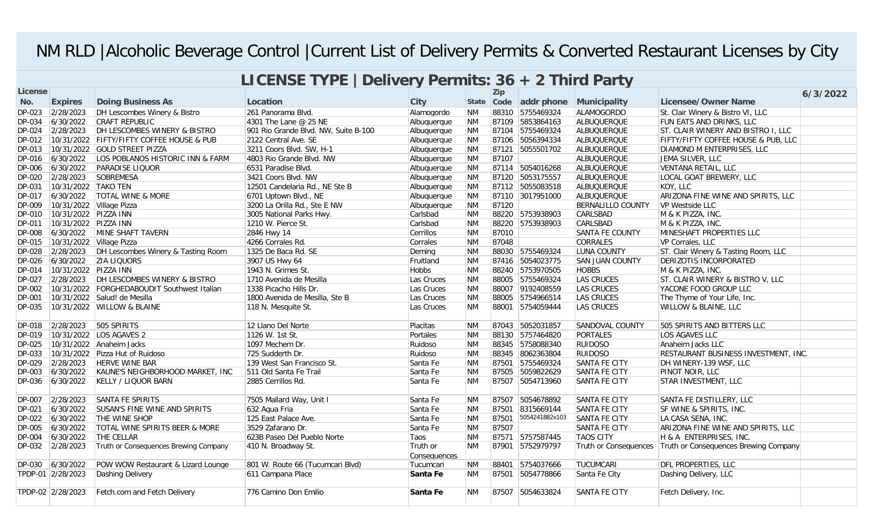## NM RLD |Alcoholic Beverage Control |Current List of Delivery Permits & Converted Restaurant Licenses by City

| LICENSE TYPE   Delivery Permits: 36 + 2 Third Party |                          |                                             |                                      |                          |           |            |                      |                          |                                                               |          |
|-----------------------------------------------------|--------------------------|---------------------------------------------|--------------------------------------|--------------------------|-----------|------------|----------------------|--------------------------|---------------------------------------------------------------|----------|
| <b>License</b>                                      |                          |                                             |                                      |                          |           | <b>Zip</b> |                      |                          |                                                               | 6/3/2022 |
| No.                                                 | <b>Expires</b>           | <b>Doing Business As</b>                    | Location                             | <b>City</b>              |           | State Code | addr phone           | Municipality             | <b>Licensee/Owner Name</b>                                    |          |
|                                                     | DP-023 2/28/2023         | DH Lescombes Winery & Bistro                | 261 Panorama Blvd.                   | Alamogordo               | <b>NM</b> |            | 88310 5755469324     | ALAMOGORDO               | St. Clair Winery & Bistro VI, LLC                             |          |
| DP-034                                              | 6/30/2022                | CRAFT REPUBLIC                              | 4301 The Lane @ 25 NE                | Albuquerque              | <b>NM</b> |            | 87109 5853864163     | ALBUQUERQUE              | FUN EATS AND DRINKS, LLC                                      |          |
| DP-024                                              | 2/28/2023                | DH LESCOMBES WINERY & BISTRO                | 901 Rio Grande Blvd. NW, Suite B-100 | Albuquerque              | <b>NM</b> |            | 87104 5755469324     | ALBUQUERQUE              | ST. CLAIR WINERY AND BISTRO I, LLC                            |          |
| DP-012                                              |                          | 10/31/2022 FIFTY/FIFTY COFFEE HOUSE & PUB   | 2122 Central Ave. SE                 | Albuquerque              | <b>NM</b> |            | 87106 5056394334     | ALBUQUERQUE              | FIFTY/FIFTY COFFEE HOUSE & PUB, LLC                           |          |
| DP-013                                              |                          | 10/31/2022 GOLD STREET PIZZA                | 3211 Coors Blvd. SW, H-1             | Albuquerque              | <b>NM</b> |            | 87121 5055501702     | ALBUQUERQUE              | DIAMOND M ENTERPRISES, LLC                                    |          |
| DP-016                                              | 6/30/2022                | LOS POBLANOS HISTORIC INN & FARM            | 4803 Rio Grande Blvd. NW             | Albuquerque              | <b>NM</b> | 87107      |                      | ALBUQUERQUE              | JEMA SILVER, LLC                                              |          |
| DP-006                                              | 6/30/2022                | <b>PARADISE LIQUOR</b>                      | 6531 Paradise Blvd.                  | Albuquerque              | <b>NM</b> |            | 87114 5054016268     | ALBUQUERQUE              | VENTANA RETAIL, LLC                                           |          |
| DP-020                                              | 2/28/2023                | SOBREMESA                                   | 3421 Coors Blvd. NW                  | Albuquerque              | <b>NM</b> |            | 87120 5053175557     | ALBUQUERQUE              | LOCAL GOAT BREWERY, LLC                                       |          |
| DP-031                                              | 10/31/2022 TAKO TEN      |                                             | 12501 Candelaria Rd., NE Ste B       | Albuquerque              | <b>NM</b> |            | 87112 5055083518     | ALBUQUERQUE              | KOY, LLC                                                      |          |
| DP-017                                              | 6/30/2022                | <b>TOTAL WINE &amp; MORE</b>                | 6701 Uptown Blvd., NE                | Albuquerque              | <b>NM</b> |            | 87110 3017951000     | <b>ALBUQUERQUE</b>       | ARIZONA FINE WINE AND SPIRITS, LLC                            |          |
| DP-009                                              | 10/31/2022 Village Pizza |                                             | 3200 La Orilla Rd., Ste E NW         | Albuquerque              | <b>NM</b> | 87120      |                      | <b>BERNALILLO COUNTY</b> | VP Westside LLC                                               |          |
| DP-010                                              | 10/31/2022 PIZZA INN     |                                             | 3005 National Parks Hwy.             | Carlsbad                 | <b>NM</b> |            | 88220 5753938903     | CARLSBAD                 | M & K PIZZA, INC.                                             |          |
| DP-011                                              | 10/31/2022 PIZZA INN     |                                             | 1210 W. Pierce St.                   | Carlsbad                 | <b>NM</b> |            | 88220 5753938903     | CARLSBAD                 | M & K PIZZA, INC.                                             |          |
| DP-008                                              |                          | 6/30/2022 MINE SHAFT TAVERN                 | 2846 Hwy 14                          | <b>Cerrillos</b>         | <b>NM</b> | 87010      |                      | <b>SANTA FE COUNTY</b>   | MINESHAFT PROPERTIES LLC                                      |          |
| DP-015                                              | 10/31/2022 Village Pizza |                                             | 4266 Corrales Rd.                    | Corrales                 | <b>NM</b> | 87048      |                      | <b>CORRALES</b>          | VP Corrales, LLC                                              |          |
| DP-028                                              | 2/28/2023                | DH Lescombes Winery & Tasting Room          | 1325 De Baca Rd. SE                  | Deming                   | <b>NM</b> |            | 88030 5755469324     | LUNA COUNTY              | ST. Clair Winery & Tasting Room, LLC                          |          |
| DP-026                                              | 6/30/2022                | <b>ZIA LIQUORS</b>                          | 3907 US Hwy 64                       | Fruitland                | <b>NM</b> |            | 87416 5054023775     | <b>SAN JUAN COUNTY</b>   | DERIZOTIS INCORPORATED                                        |          |
| DP-014                                              | 10/31/2022 PIZZA INN     |                                             | 1943 N. Grimes St.                   | <b>Hobbs</b>             | <b>NM</b> |            | 88240 5753970505     | <b>HOBBS</b>             | M & K PIZZA, INC.                                             |          |
| DP-027                                              | 2/28/2023                | DH LESCOMBES WINERY & BISTRO                | 1710 Avenida de Mesilla              | Las Cruces               | <b>NM</b> |            | 88005 5755469324     | LAS CRUCES               | ST. CLAIR WINERY & BISTRO V, LLC                              |          |
| DP-002                                              |                          | 10/31/2022 FORGHEDABOUDIT Southwest Italian | 1338 Picacho Hills Dr.               | Las Cruces               | <b>NM</b> |            | 88007 9192408559     | <b>LAS CRUCES</b>        | YACONE FOOD GROUP LLC                                         |          |
| DP-001                                              |                          | 10/31/2022 Salud! de Mesilla                | 1800 Avenida de Mesilla, Ste B       | Las Cruces               | <b>NM</b> |            | 88005 5754966514     | <b>LAS CRUCES</b>        | The Thyme of Your Life, Inc.                                  |          |
| DP-035                                              |                          | 10/31/2022 WILLOW & BLAINE                  | 118 N. Mesquite St.                  | Las Cruces               | <b>NM</b> |            | 88001 5754059444     | <b>LAS CRUCES</b>        | WILLOW & BLAINE, LLC                                          |          |
| DP-018                                              | 2/28/2023                | 505 SPIRITS                                 | 12 Llano Del Norte                   | Placitas                 | <b>NM</b> |            | 87043 5052031857     | <b>SANDOVAL COUNTY</b>   | 505 SPIRITS AND BITTERS LLC                                   |          |
| DP-019                                              |                          | 10/31/2022 LOS AGAVES 2                     | 1126 W. 1st St.                      | Portales                 | <b>NM</b> |            | 88130 5757464820     | PORTALES                 | LOS AGAVES LLC                                                |          |
| DP-025                                              |                          | 10/31/2022 Anaheim Jacks                    | 1097 Mechem Dr.                      | Ruidoso                  | <b>NM</b> |            | 88345 5758088340     | <b>RUIDOSO</b>           | Anaheim Jacks LLC                                             |          |
| DP-033                                              |                          | 10/31/2022 Pizza Hut of Ruidoso             | 725 Sudderth Dr.                     | Ruidoso                  | <b>NM</b> |            | 88345 8062363804     | <b>RUIDOSO</b>           | RESTAURANT BUSINESS INVESTMENT, INC.                          |          |
| DP-029                                              | 2/28/2023                | <b>HERVE WINE BAR</b>                       | 139 West San Francisco St.           | Santa Fe                 | <b>NM</b> |            | 87501 5755469324     | SANTA FE CITY            | DH WINERY-139 WSF, LLC                                        |          |
| DP-003                                              | 6/30/2022                | KAUNE'S NEIGHBORHOOD MARKET, INC            | 1511 Old Santa Fe Trail              | Santa Fe                 | <b>NM</b> |            | 87505 5059822629     | <b>SANTA FE CITY</b>     | PINOT NOIR, LLC                                               |          |
| DP-036                                              | 6/30/2022                | <b>KELLY / LIQUOR BARN</b>                  | 2885 Cerrillos Rd.                   | Santa Fe                 | <b>NM</b> |            | 87507 5054713960     | SANTA FE CITY            | STAR INVESTMENT, LLC                                          |          |
| DP-007                                              | 2/28/2023                | SANTA FE SPIRITS                            | 7505 Mallard Way, Unit I             | Santa Fe                 | <b>NM</b> | 87507      | 5054678892           | SANTA FE CITY            | SANTA FE DISTILLERY, LLC                                      |          |
| DP-021                                              | 6/30/2022                | <b>SUSAN'S FINE WINE AND SPIRITS</b>        | 632 Agua Fria                        | Santa Fe                 | <b>NM</b> |            | 87501 8315669144     | SANTA FE CITY            | SF WINE & SPIRITS, INC.                                       |          |
| DP-022                                              | 6/30/2022                | <b>THE WINE SHOP</b>                        | 125 East Palace Ave.                 | Santa Fe                 | <b>NM</b> |            | 87501 5054241882x103 | <b>SANTA FE CITY</b>     | LA CASA SENA, INC.                                            |          |
| <b>DP-005</b>                                       | 6/30/2022                | TOTAL WINE SPIRITS BEER & MORE              | 3529 Zafarano Dr.                    | Santa Fe                 | <b>NM</b> | 87507      |                      | SANTA FE CITY            | ARIZONA FINE WINE AND SPIRITS, LLC                            |          |
| DP-004                                              | 6/30/2022                | <b>THE CELLAR</b>                           | 623B Paseo Del Pueblo Norte          | Taos                     | <b>NM</b> |            | 87571 5757587445     | <b>TAOS CITY</b>         | H & A ENTERPRISES, INC.                                       |          |
| DP-032                                              | 2/28/2023                | Truth or Consequences Brewing Company       | 410 N. Broadway St.                  | Truth or<br>Consequences | <b>NM</b> |            | 87901 5752979797     |                          | Truth or Consequences   Truth or Consequences Brewing Company |          |
| DP-030                                              | 6/30/2022                | POW WOW Restaurant & Lizard Lounge          | 801 W. Route 66 (Tucumcari Blvd)     | Tucumcari                | <b>NM</b> | 88401      | 5754037666           | <b>TUCUMCARI</b>         | DFL PROPERTIES, LLC                                           |          |
|                                                     | TPDP-01 2/28/2023        | Dashing Delivery                            | 611 Campana Place                    | Santa Fe                 | <b>NM</b> |            | 87501 5054778866     | Santa Fe City            | Dashing Delivery, LLC                                         |          |
|                                                     | TPDP-02 2/28/2023        | Fetch.com and Fetch Delivery                | 776 Camino Don Emilio                | Santa Fe                 | <b>NM</b> | 87507      | 5054633824           | SANTA FE CITY            | Fetch Delivery, Inc.                                          |          |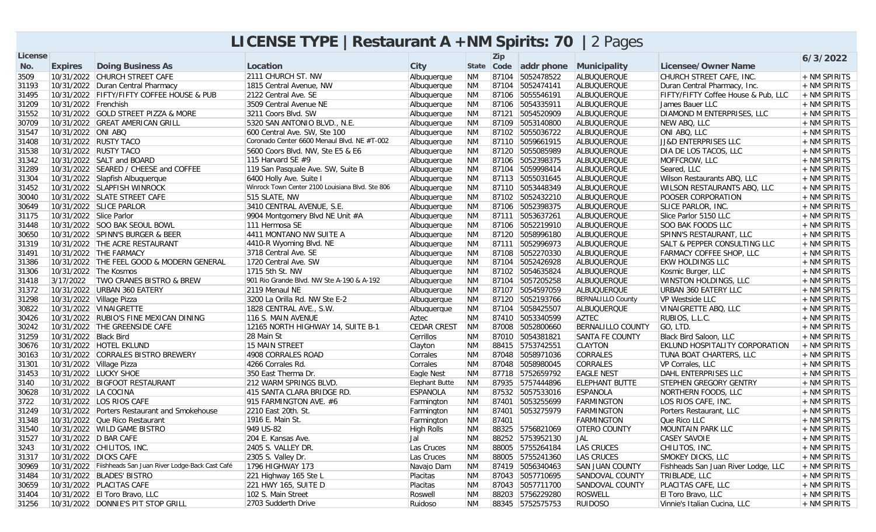## **LICENSE TYPE |Restaurant A +NM Spirits: 70 |**2 Pages

| <b>License</b> |                             |                                                           |                                                  |                       |           | <b>Zip</b> |                       |                          |                                       | 6/3/2022       |
|----------------|-----------------------------|-----------------------------------------------------------|--------------------------------------------------|-----------------------|-----------|------------|-----------------------|--------------------------|---------------------------------------|----------------|
| No.            | <b>Expires</b>              | <b>Doing Business As</b>                                  | Location                                         | <b>City</b>           |           |            | State Code addr phone | Municipality             | <b>Licensee/Owner Name</b>            |                |
| 3509           |                             | 10/31/2022 CHURCH STREET CAFE                             | 2111 CHURCH ST. NW                               | Albuquerque           | <b>NM</b> |            | 87104 5052478522      | <b>ALBUQUERQUE</b>       | CHURCH STREET CAFE, INC.              | + NM SPIRITS   |
| 31193          |                             | 10/31/2022 Duran Central Pharmacy                         | 1815 Central Avenue, NW                          | Albuquerque           | <b>NM</b> |            | 87104 5052474141      | ALBUQUERQUE              | Duran Central Pharmacy, Inc.          | + NM SPIRITS   |
| 31495          |                             | 10/31/2022 FIFTY/FIFTY COFFEE HOUSE & PUB                 | 2122 Central Ave. SE                             | Albuquerque           | <b>NM</b> |            | 87106 5055546191      | ALBUQUERQUE              | FIFTY/FIFTY Coffee House & Pub, LLC   | + NM SPIRITS   |
| 31209          | 10/31/2022 Frenchish        |                                                           | 3509 Central Avenue NE                           | Albuquerque           | <b>NM</b> |            | 87106 5054335911      | ALBUQUERQUE              | James Bauer LLC                       | + NM SPIRITS   |
| 31552          |                             | 10/31/2022 GOLD STREET PIZZA & MORE                       | 3211 Coors Blvd. SW                              | Albuquerque           | <b>NM</b> |            | 87121 5054520909      | ALBUQUERQUE              | DIAMOND M ENTERPRISES, LLC            | + NM SPIRITS   |
| 30709          |                             | 10/31/2022 GREAT AMERICAN GRILL                           | 5320 SAN ANTONIO BLVD., N.E.                     | Albuquerque           | <b>NM</b> |            | 87109 5053140800      | ALBUQUERQUE              | NEW ABQ, LLC                          | + NM SPIRITS   |
| 31547          | 10/31/2022 ONI ABQ          |                                                           | 600 Central Ave. SW, Ste 100                     | Albuquerque           | <b>NM</b> |            | 87102 5055036722      | ALBUQUERQUE              | ONI ABO, LLC                          | + NM SPIRITS   |
| 31408          |                             | 10/31/2022 RUSTY TACO                                     | Coronado Center 6600 Menaul Blvd. NE #T-002      | Albuquerque           | <b>NM</b> |            | 87110 5059661915      | ALBUQUERQUE              | <b>JJ&amp;D ENTERPRISES LLC</b>       | + NM SPIRITS   |
| 31538          |                             | 10/31/2022 RUSTY TACO                                     | 5600 Coors Blvd. NW, Ste E5 & E6                 | Albuquerque           | <b>NM</b> |            | 87120 5055085989      | ALBUQUERQUE              | DIA DE LOS TACOS, LLC                 | $+$ NM SPIRITS |
| 31342          |                             | 10/31/2022 SALT and BOARD                                 | 115 Harvard SE $#9$                              | Albuquerque           | <b>NM</b> |            | 87106 5052398375      | ALBUQUERQUE              | MOFFCROW, LLC                         | $+$ NM SPIRITS |
| 31289          |                             | 10/31/2022 SEARED / CHEESE and COFFEE                     | 119 San Pasquale Ave. SW, Suite B                | Albuquerque           | <b>NM</b> |            | 87104 5059998414      | ALBUQUERQUE              | Seared, LLC                           | + NM SPIRITS   |
| 31304          |                             | 10/31/2022 Slapfish Albuquerque                           | 6400 Holly Ave. Suite I                          | Albuquerque           | <b>NM</b> |            | 87113 5055031645      | ALBUQUERQUE              | Wilson Restaurants ABQ, LLC           | $+$ NM SPIRITS |
| 31452          |                             | 10/31/2022 SLAPFISH WINROCK                               | Winrock Town Center 2100 Louisiana Blvd. Ste 806 | Albuquerque           | <b>NM</b> |            | 87110 5053448349      | ALBUQUERQUE              | WILSON RESTAURANTS ABQ, LLC           | + NM SPIRITS   |
| 30040          |                             | 10/31/2022 SLATE STREET CAFE                              | 515 SLATE, NW                                    | Albuquerque           | <b>NM</b> |            | 87102 5052432210      | ALBUQUERQUE              | POOSER CORPORATION                    | + NM SPIRITS   |
| 30649          |                             | 10/31/2022 SLICE PARLOR                                   | 3410 CENTRAL AVENUE, S.E.                        | Albuquerque           | <b>NM</b> |            | 87106 5052398375      | ALBUQUERQUE              | <b>SLICE PARLOR, INC.</b>             | + NM SPIRITS   |
| 31175          | 10/31/2022 Slice Parlor     |                                                           | 9904 Montgomery Blvd NE Unit #A                  | Albuquerque           | <b>NM</b> |            | 87111 5053637261      | ALBUQUERQUE              | Slice Parlor 5150 LLC                 | + NM SPIRITS   |
| 31448          |                             | 10/31/2022 SOO BAK SEOUL BOWL                             | 111 Hermosa SE                                   | Albuquerque           | <b>NM</b> |            | 87106 5052219910      | <b>ALBUQUERQUE</b>       | <b>SOO BAK FOODS LLC</b>              | + NM SPIRITS   |
| 30650          |                             | 10/31/2022  SPINN'S BURGER & BEER                         | 4411 MONTANO NW SUITE A                          | Albuquerque           | <b>NM</b> |            | 87120 5058996180      | ALBUQUERQUE              | SPINN'S RESTAURANT, LLC               | $+$ NM SPIRITS |
| 31319          |                             | 10/31/2022 THE ACRE RESTAURANT                            | 4410-R Wyoming Blvd. NE                          | Albuquerque           | <b>NM</b> |            | 87111 5052996973      | ALBUQUERQUE              | ISALT & PEPPER CONSULTING LLC         | $+$ NM SPIRITS |
| 31491          |                             | 10/31/2022 THE FARMACY                                    | 3718 Central Ave. SE                             | Albuquerque           | <b>NM</b> |            | 87108 5052270330      | ALBUQUERQUE              | <b>FARMACY COFFEE SHOP, LLC</b>       | + NM SPIRITS   |
| 31386          |                             | 10/31/2022 THE FEEL GOOD & MODERN GENERAL                 | 1720 Central Ave. SW                             | Albuquerque           | <b>NM</b> |            | 87104 5052426928      | ALBUQUERQUE              | <b>EKW HOLDINGS LLC</b>               | + NM SPIRITS   |
| 31306          | 10/31/2022 The Kosmos       |                                                           | 1715 5th St. NW                                  | Albuquerque           | <b>NM</b> |            | 87102 5054635824      | ALBUQUERQUE              | Kosmic Burger, LLC                    | + NM SPIRITS   |
| 31418          | 3/17/2022                   | <b>TWO CRANES BISTRO &amp; BREW</b>                       | 901 Rio Grande Blvd. NW Ste A-190 & A-192        | Albuquerque           | <b>NM</b> |            | 87104 5057205258      | ALBUQUERQUE              | <b>WINSTON HOLDINGS, LLC</b>          | + NM SPIRITS   |
| 31372          |                             | 10/31/2022 URBAN 360 EATERY                               | 2119 Menaul NE                                   | Albuquerque           | <b>NM</b> |            | 87107 5054597059      | ALBUQUERQUE              | URBAN 360 EATERY LLC                  | + NM SPIRITS   |
| 31298          | 10/31/2022   Village Pizza  |                                                           | 3200 La Orilla Rd. NW Ste E-2                    | Albuquerque           | <b>NM</b> |            | 87120 5052193766      | <b>BERNALILLO County</b> | VP Westside LLC                       | + NM SPIRITS   |
| 30822          |                             | 10/31/2022 VINAIGRETTE                                    | 1828 CENTRAL AVE., S.W.                          | Albuguergue           | <b>NM</b> |            | 87104 5058425507      | <b>ALBUQUERQUE</b>       | VINAIGRETTE ABQ, LLC                  | $+$ NM SPIRITS |
| 30426          |                             | 10/31/2022 RUBIO'S FINE MEXICAN DINING                    | 116 S. MAIN AVENUE                               | Aztec                 | <b>NM</b> |            | 87410 5053340599      | <b>AZTEC</b>             | RUBIOS, L.L.C.                        | + NM SPIRITS   |
| 30242          |                             | 10/31/2022 THE GREENSIDE CAFE                             | 12165 NORTH HIGHWAY 14, SUITE B-1                | <b>CEDAR CREST</b>    | <b>NM</b> |            | 87008 5052800660      | <b>BERNALILLO COUNTY</b> | GO, LTD.                              | + NM SPIRITS   |
| 31259          | 10/31/2022 Black Bird       |                                                           | 28 Main St                                       | Cerrillos             | <b>NM</b> |            | 87010 5054381821      | <b>SANTA FE COUNTY</b>   | Black Bird Saloon, LLC                | + NM SPIRITS   |
| 30676          |                             | 10/31/2022 HOTEL EKLUND                                   | 15 MAIN STREET                                   | Clayton               | <b>NM</b> |            | 88415 5753742551      | <b>CLAYTON</b>           | <b>EKLUND HOSPITALITY CORPORATION</b> | + NM SPIRITS   |
| 30163          |                             | 10/31/2022 CORRALES BISTRO BREWERY                        | 4908 CORRALES ROAD                               | Corrales              | <b>NM</b> |            | 87048 5058971036      | <b>CORRALES</b>          | TUNA BOAT CHARTERS, LLC               | + NM SPIRITS   |
| 31301          | 10/31/2022    Village Pizza |                                                           | 4266 Corrales Rd.                                | Corrales              | <b>NM</b> |            | 87048 5058980045      | <b>CORRALES</b>          | VP Corrales, LLC                      | $+$ NM SPIRITS |
| 31453          |                             | 10/31/2022 LUCKY SHOE                                     | 350 East Therma Dr.                              | Eagle Nest            | <b>NM</b> |            | 87718 5752659792      | <b>EAGLE NEST</b>        | DAHL ENTERPRISES LLC                  | + NM SPIRITS   |
| 3140           |                             | 10/31/2022 BIGFOOT RESTAURANT                             | 212 WARM SPRINGS BLVD.                           | <b>Elephant Butte</b> | <b>NM</b> |            | 87935 5757444896      | <b>ELEPHANT BUTTE</b>    | <b>STEPHEN GREGORY GENTRY</b>         | + NM SPIRITS   |
| 30628          | 10/31/2022 LA COCINA        |                                                           | 415 SANTA CLARA BRIDGE RD.                       | <b>ESPANOLA</b>       | <b>NM</b> |            | 87532 5057533016      | <b>ESPANOLA</b>          | NORTHERN FOODS, LLC                   | $+$ NM SPIRITS |
| 3722           |                             | 10/31/2022 LOS RIOS CAFE                                  | 915 FARMINGTON AVE. #6                           | Farmington            | <b>NM</b> |            | 87401 5053255699      | FARMINGTON               | LOS RIOS CAFE, INC.                   | $+$ NM SPIRITS |
| 31249          |                             | 10/31/2022 Porters Restaurant and Smokehouse              | 2210 East 20th. St.                              | Farmington            | <b>NM</b> | 87401      | 5053275979            | FARMINGTON               | Porters Restaurant, LLC               | + NM SPIRITS   |
| 31348          |                             | 10/31/2022 Que Rico Restaurant                            | 1916 E. Main St.                                 | Farmington            | <b>NM</b> | 87401      |                       | <b>FARMINGTON</b>        | Que Rico LLC                          | + NM SPIRITS   |
| 31540          |                             | 10/31/2022 WILD GAME BISTRO                               | 949 US-82                                        | High Rolls            | <b>NM</b> |            | 88325 5756821069      | <b>OTERO COUNTY</b>      | MOUNTAIN PARK LLC                     | + NM SPIRITS   |
| 31527          | 10/31/2022 D BAR CAFE       |                                                           | 204 E. Kansas Ave.                               | Jal                   | <b>NM</b> |            | 88252 5753952130      | JAL                      | <b>CASEY SAVOIE</b>                   | + NM SPIRITS   |
| 3243           |                             | 10/31/2022 CHILITOS, INC.                                 | 2405 S. VALLEY DR.                               | Las Cruces            | <b>NM</b> |            | 88005 5755264184      | <b>LAS CRUCES</b>        | CHILITOS, INC.                        | $+$ NM SPIRITS |
| 31317          | 10/31/2022 DICKS CAFE       |                                                           | 2305 S. Valley Dr.                               | Las Cruces            | <b>NM</b> |            | 88005 5755241360      | <b>LAS CRUCES</b>        | <b>SMOKEY DICKS, LLC</b>              | + NM SPIRITS   |
| 30969          |                             | 10/31/2022 Fiishheads San Juan River Lodge-Back Cast Café | 1796 HIGHWAY 173                                 | Navajo Dam            | <b>NM</b> |            | 87419 5056340463      | <b>SAN JUAN COUNTY</b>   | Fishheads San Juan River Lodge, LLC   | + NM SPIRITS   |
| 31484          |                             | 10/31/2022 BLADES' BISTRO                                 | 221 Highway 165 Ste L                            | Placitas              | <b>NM</b> |            | 87043 5057710695      | SANDOVAL COUNTY          | TRIBLADE, LLC                         | $+$ NM SPIRITS |
| 30659          |                             | 10/31/2022 PLACITAS CAFE                                  | 221 HWY 165, SUITE D                             | Placitas              | <b>NM</b> |            | 87043 5057711700      | SANDOVAL COUNTY          | PLACITAS CAFE, LLC                    | + NM SPIRITS   |
| 31404          |                             | 10/31/2022 El Toro Bravo, LLC                             | 102 S. Main Street                               | Roswell               | <b>NM</b> |            | 88203 5756229280      | <b>ROSWELL</b>           | El Toro Bravo, LLC                    | $+$ NM SPIRITS |
| 31256          |                             | 10/31/2022 DONNIE'S PIT STOP GRILL                        | 2703 Sudderth Drive                              | Ruidoso               | <b>NM</b> |            | 88345 5752575753      | <b>RUIDOSO</b>           | Vinnie's Italian Cucina, LLC          | + NM SPIRITS   |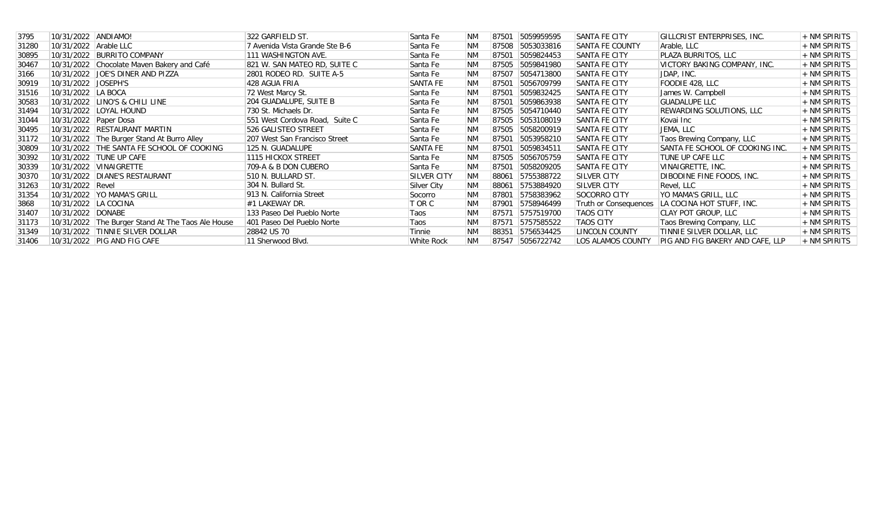| 3795  | 10/31/2022 ANDIAMO!   |                                                   | 322 GARFIELD ST.               | Santa Fe           | <b>NM</b> | 87501 | 5059959595 | SANTA FE CITY                | GILLCRIST ENTERPRISES, INC.      | + NM SPIRITS   |
|-------|-----------------------|---------------------------------------------------|--------------------------------|--------------------|-----------|-------|------------|------------------------------|----------------------------------|----------------|
| 31280 | 10/31/2022 Arable LLC |                                                   | 7 Avenida Vista Grande Ste B-6 | Santa Fe           | <b>NM</b> | 87508 | 5053033816 | SANTA FE COUNTY              | Arable, LLC                      | + NM SPIRITS   |
| 30895 |                       | 10/31/2022 BURRITO COMPANY                        | 111 WASHINGTON AVE.            | Santa Fe           | <b>NM</b> | 87501 | 5059824453 | SANTA FE CITY                | PLAZA BURRITOS, LLC              | + NM SPIRITS   |
| 30467 |                       | 10/31/2022 Chocolate Maven Bakery and Café        | 821 W. SAN MATEO RD. SUITE C   | Santa Fe           | <b>NM</b> | 87505 | 5059841980 | <b>SANTA FE CITY</b>         | VICTORY BAKING COMPANY, INC.     | $+$ NM SPIRITS |
| 3166  |                       | 10/31/2022 JOE'S DINER AND PIZZA                  | 2801 RODEO RD. SUITE A-5       | Santa Fe           | <b>NM</b> | 87507 | 5054713800 | <b>SANTA FE CITY</b>         | JDAP, INC.                       | + NM SPIRITS   |
| 30919 | 10/31/2022 JOSEPH'S   |                                                   | 428 AGUA FRIA                  | SANTA FE           | <b>NM</b> | 87501 | 5056709799 | SANTA FE CITY                | FOODIE 428, LLC                  | + NM SPIRITS   |
| 31516 | 10/31/2022 LA BOCA    |                                                   | 72 West Marcy St.              | Santa Fe           | <b>NM</b> | 87501 | 5059832425 | SANTA FE CITY                | James W. Campbell                | + NM SPIRITS   |
| 30583 |                       | 10/31/2022 LINO'S & CHILI LINE                    | 204 GUADALUPE, SUITE B         | Santa Fe           | <b>NM</b> | 87501 | 5059863938 | SANTA FE CITY                | <b>GUADALUPE LLC</b>             | + NM SPIRITS   |
| 31494 |                       | 10/31/2022   LOYAL HOUND                          | 730 St. Michaels Dr.           | Santa Fe           | <b>NM</b> | 87505 | 5054710440 | SANTA FE CITY                | REWARDING SOLUTIONS, LLC         | + NM SPIRITS   |
| 31044 | 10/31/2022 Paper Dosa |                                                   | 551 West Cordova Road, Suite C | Santa Fe           | <b>NM</b> | 87505 | 5053108019 | <b>SANTA FE CITY</b>         | Kovai Inc                        | + NM SPIRITS   |
| 30495 |                       | 10/31/2022 RESTAURANT MARTIN                      | 526 GALISTEO STREET            | Santa Fe           | <b>NM</b> | 87505 | 5058200919 | SANTA FE CITY                | JEMA, LLC                        | + NM SPIRITS   |
| 31172 |                       | 10/31/2022 The Burger Stand At Burro Alley        | 207 West San Francisco Street  | Santa Fe           | <b>NM</b> | 87501 | 5053958210 | <b>SANTA FE CITY</b>         | Taos Brewing Company, LLC        | + NM SPIRITS   |
| 30809 |                       | 10/31/2022 THE SANTA FE SCHOOL OF COOKING         | 125 N. GUADALUPE               | SANTA FE           | <b>NM</b> | 87501 | 5059834511 | SANTA FE CITY                | SANTA FE SCHOOL OF COOKING INC.  | + NM SPIRITS   |
| 30392 |                       | 10/31/2022 TUNE UP CAFE                           | 1115 HICKOX STREET             | Santa Fe           | <b>NM</b> | 87505 | 5056705759 | <b>SANTA FE CITY</b>         | TUNE UP CAFE LLC                 | $+$ NM SPIRITS |
| 30339 |                       | 10/31/2022 VINAIGRETTE                            | 709-A & B DON CUBERO           | Santa Fe           | <b>NM</b> | 87501 | 5058209205 | SANTA FE CITY                | VINAIGRETTE, INC.                | + NM SPIRITS   |
| 30370 |                       | 10/31/2022 DIANE'S RESTAURANT                     | 510 N. BULLARD ST.             | <b>SILVER CITY</b> | <b>NM</b> | 88061 | 5755388722 | SILVER CITY                  | DIBODINE FINE FOODS, INC.        | + NM SPIRITS   |
| 31263 | 10/31/2022 Revel      |                                                   | 304 N. Bullard St.             | Silver City        | <b>NM</b> | 88061 | 5753884920 | SILVER CITY                  | Revel, LLC                       | + NM SPIRITS   |
| 31354 |                       | 10/31/2022   YO MAMA'S GRILL                      | 913 N. California Street       | Socorro            | <b>NM</b> | 87801 | 5758383962 | SOCORRO CITY                 | YO MAMA'S GRILL, LLC             | + NM SPIRITS   |
| 3868  | 10/31/2022 LA COCINA  |                                                   | #1 LAKEWAY DR.                 | T OR C             | <b>NM</b> | 87901 | 5758946499 | <b>Truth or Consequences</b> | LA COCINA HOT STUFF, INC.        | + NM SPIRITS   |
| 31407 | 10/31/2022 DONABE     |                                                   | 133 Paseo Del Pueblo Norte     | Taos               | <b>NM</b> | 87571 | 5757519700 | <b>TAOS CITY</b>             | CLAY POT GROUP, LLC              | $+$ NM SPIRITS |
| 31173 |                       | 10/31/2022 The Burger Stand At The Taos Ale House | 401 Paseo Del Pueblo Norte     | Taos               | <b>NM</b> | 87571 | 5757585522 | <b>TAOS CITY</b>             | Taos Brewing Company, LLC        | + NM SPIRITS   |
| 31349 |                       | 10/31/2022 TINNIE SILVER DOLLAR                   | 28842 US 70                    | Tinnie             | <b>NM</b> | 88351 | 5756534425 | LINCOLN COUNTY               | TINNIE SILVER DOLLAR, LLC        | + NM SPIRITS   |
| 31406 |                       | 10/31/2022   PIG AND FIG CAFE                     | 11 Sherwood Blvd.              | White Rock         | <b>NM</b> | 87547 | 5056722742 | LOS ALAMOS COUNTY            | PIG AND FIG BAKERY AND CAFE, LLP | + NM SPIRITS   |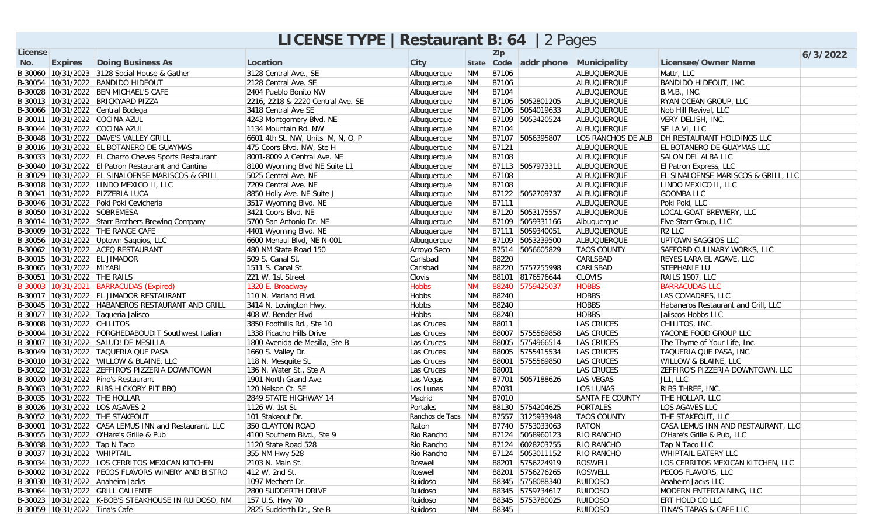|         |                                |                                                                        | <b>LICENSE TYPE   Restaurant B: 64   2 Pages</b> |                    |                        |       |                                    |                    |                                                   |          |
|---------|--------------------------------|------------------------------------------------------------------------|--------------------------------------------------|--------------------|------------------------|-------|------------------------------------|--------------------|---------------------------------------------------|----------|
| License |                                |                                                                        |                                                  |                    |                        | Zip   |                                    |                    |                                                   | 6/3/2022 |
| No.     | <b>Expires</b>                 | <b>Doing Business As</b>                                               | Location                                         | City               |                        |       | State Code addr phone Municipality |                    | <b>Licensee/Owner Name</b>                        |          |
|         |                                | B-30060   10/31/2023   3128 Social House & Gather                      | 3128 Central Ave., SE                            | Albuquerque        | <b>NM</b>              | 87106 |                                    | ALBUQUERQUE        | Mattr, LLC                                        |          |
|         |                                | B-30054 10/31/2022 BANDIDO HIDEOUT                                     | 2128 Central Ave. SE                             | Albuquerque        | <b>NM</b>              | 87106 |                                    | ALBUQUERQUE        | BANDIDO HIDEOUT, INC.                             |          |
|         |                                | B-30028 10/31/2022 BEN MICHAEL'S CAFE                                  | 2404 Pueblo Bonito NW                            | Albuquerque        | <b>NM</b>              | 87104 |                                    | ALBUQUERQUE        | B.M.B., INC.                                      |          |
|         |                                | B-30013 10/31/2022 BRICKYARD PIZZA                                     | 2216, 2218 & 2220 Central Ave. SE                | Albuquerque        | <b>NM</b>              |       | 87106 5052801205                   | ALBUQUERQUE        | RYAN OCEAN GROUP, LLC                             |          |
|         |                                | B-30066 10/31/2022 Central Bodega                                      | 3418 Central Ave SE                              | Albuquerque        | <b>NM</b>              |       | 87106 5054019633                   | ALBUQUERQUE        | Nob Hill Revival, LLC                             |          |
|         |                                | B-30011 10/31/2022 COCINA AZUL                                         | 4243 Montgomery Blvd. NE                         | Albuquerque        | <b>NM</b>              |       | 87109 5053420524                   | ALBUQUERQUE        | VERY DELISH, INC.                                 |          |
|         |                                | B-30044 10/31/2022 COCINA AZUL                                         | 1134 Mountain Rd. NW                             | Albuquerque        | <b>NM</b>              | 87104 |                                    | ALBUQUERQUE        | SE LA VI, LLC                                     |          |
|         |                                | B-30048 10/31/2022 DAVE'S VALLEY GRILL                                 | 6601 4th St. NW, Units M, N, O, P                | Albuquerque        | <b>NM</b>              |       | 87107 5056395807                   |                    | LOS RANCHOS DE ALB DH RESTAURANT HOLDINGS LLC     |          |
|         |                                | B-30016 10/31/2022 EL BOTANERO DE GUAYMAS                              | 475 Coors Blvd. NW, Ste H                        | Albuquerque        | <b>NM</b>              | 87121 |                                    | ALBUQUERQUE        | <b>EL BOTANERO DE GUAYMAS LLC</b>                 |          |
|         |                                | B-30033 10/31/2022 EL Charro Cheves Sports Restaurant                  | 8001-8009 A Central Ave. NE                      | Albuquerque        | <b>NM</b>              | 87108 |                                    | ALBUQUERQUE        | SALON DEL ALBA LLC                                |          |
|         |                                | B-30040 10/31/2022 El Patron Restaurant and Cantina                    | 8100 Wyoming Blvd NE Suite L1                    | Albuquerque        | <b>NM</b>              |       | 87113 5057973311                   | ALBUQUERQUE        | <b>El Patron Express, LLC</b>                     |          |
|         |                                | B-30029 10/31/2022 EL SINALOENSE MARISCOS & GRILL                      | 5025 Central Ave. NE                             | Albuquerque        | <b>NM</b>              | 87108 |                                    | ALBUQUERQUE        | EL SINALOENSE MARISCOS & GRILL, LLC               |          |
|         |                                | B-30018 10/31/2022 LINDO MEXICO II, LLC                                | 7209 Central Ave. NE                             | Albuquerque        | <b>NM</b>              | 87108 |                                    | ALBUQUERQUE        | LINDO MEXICO II, LLC                              |          |
|         |                                | B-30041 10/31/2022 PIZZERIA LUCA                                       | 8850 Holly Ave. NE Suite J                       | Albuquerque        | <b>NM</b>              |       | 87122 5052709737                   | ALBUQUERQUE        | <b>GOOMBA LLC</b>                                 |          |
|         |                                | B-30046 10/31/2022 Poki Poki Cevicheria                                | 3517 Wyoming Blvd. NE                            | Albuquerque        | <b>NM</b>              | 87111 |                                    | ALBUQUERQUE        | Poki Poki, LLC                                    |          |
|         |                                | B-30050 10/31/2022 SOBREMESA                                           | 3421 Coors Blvd. NE                              | Albuquerque        | <b>NM</b>              |       | 87120 5053175557                   | ALBUQUERQUE        | LOCAL GOAT BREWERY, LLC                           |          |
|         |                                | B-30014 10/31/2022 Starr Brothers Brewing Company                      | 5700 San Antonio Dr. NE                          | Albuquerque        | <b>NM</b>              |       | 87109 5059331166                   | Albuquerque        | Five Starr Group, LLC                             |          |
|         |                                | B-30009 10/31/2022 THE RANGE CAFE                                      | 4401 Wyoming Blvd. NE                            | Albuquerque        | <b>NM</b>              |       | 87111 5059340051                   | ALBUQUERQUE        | R <sub>2</sub> LLC                                |          |
|         |                                | B-30056 10/31/2022 Uptown Saggios, LLC                                 | 6600 Menaul Blvd, NE N-001                       | Albuquerque        | <b>NM</b>              |       | 87109 5053239500                   | ALBUQUERQUE        | UPTOWN SAGGIOS LLC                                |          |
|         |                                | B-30062 10/31/2022 ACEQ RESTAURANT                                     | 480 NM State Road 150                            | Arroyo Seco        | <b>NM</b>              |       | 87514 5056605829                   | <b>TAOS COUNTY</b> | SAFFORD CULINARY WORKS, LLC                       |          |
|         |                                | B-30015 10/31/2022 EL JIMADOR                                          | 509 S. Canal St.                                 | Carlsbad           | <b>NM</b>              | 88220 |                                    | CARLSBAD           | <b>REYES LARA EL AGAVE, LLC</b>                   |          |
|         | B-30065 10/31/2022 MIYABI      |                                                                        | 1511 S. Canal St.                                | Carlsbad           | <b>NM</b>              |       | 88220 5757255998                   | CARLSBAD           | STEPHANIE LU                                      |          |
|         | B-30051 10/31/2022 THE RAILS   |                                                                        | 221 W. 1st Street                                | Clovis             | <b>NM</b>              |       | 88101 8176576644                   | <b>CLOVIS</b>      | RAILS 1907, LLC                                   |          |
|         |                                | B-30003 10/31/2021 BARRACUDAS (Expired)                                | 1320 E. Broadway                                 | <b>Hobbs</b>       | <b>NM</b>              |       | 88240 5759425037                   | <b>HOBBS</b>       | <b>BARRACUDAS LLC</b>                             |          |
|         |                                | B-30017   10/31/2022   EL JIMADOR RESTAURANT                           | 110 N. Marland Blvd.                             | Hobbs              | <b>NM</b>              | 88240 |                                    | HOBBS              | LAS COMADRES, LLC                                 |          |
|         |                                | B-30045 10/31/2022 HABANEROS RESTAURANT AND GRILL                      | 3414 N. Lovington Hwy.                           | Hobbs              | <b>NM</b>              | 88240 |                                    | HOBBS              | Habaneros Restaurant and Grill, LLC               |          |
|         |                                | B-30027 10/31/2022 Taqueria Jalisco                                    | 408 W. Bender Blvd                               | Hobbs              | <b>NM</b>              | 88240 |                                    | HOBBS              | Jaliscos Hobbs LLC                                |          |
|         | B-30008 10/31/2022 CHILITOS    |                                                                        | 3850 Foothills Rd., Ste 10                       | Las Cruces         | <b>NM</b>              | 88011 |                                    | LAS CRUCES         | CHILITOS, INC.                                    |          |
|         |                                | B-30004 10/31/2022 FORGHEDABOUDIT Southwest Italian                    | 1338 Picacho Hills Drive                         | Las Cruces         | <b>NM</b>              |       | 88007 5755569858                   | LAS CRUCES         | YACONE FOOD GROUP LLC                             |          |
|         |                                | B-30007 10/31/2022 SALUD! DE MESILLA                                   | 1800 Avenida de Mesilla, Ste B                   | Las Cruces         | <b>NM</b>              |       | 88005 5754966514                   | <b>LAS CRUCES</b>  | The Thyme of Your Life, Inc.                      |          |
|         |                                | B-30049 10/31/2022 TAQUERIA QUE PASA                                   | 1660 S. Valley Dr.                               | Las Cruces         | <b>NM</b>              |       | 88005 5755415534                   | LAS CRUCES         | TAQUERIA QUE PASA, INC.                           |          |
|         |                                | B-30010   10/31/2022   WILLOW & BLAINE, LLC                            | 118 N. Mesquite St.                              | Las Cruces         | <b>NM</b>              |       | 88001 5755569850                   | LAS CRUCES         | <b>WILLOW &amp; BLAINE, LLC</b>                   |          |
|         |                                | B-30022 10/31/2022 ZEFFIRO'S PIZZERIA DOWNTOWN                         | 136 N. Water St., Ste A                          | Las Cruces         | <b>NM</b>              | 88001 |                                    | LAS CRUCES         | ZEFFIRO'S PIZZERIA DOWNTOWN, LLC                  |          |
|         |                                | B-30020 10/31/2022 Pino's Restaurant                                   | 1901 North Grand Ave.                            | Las Vegas          | <b>NM</b>              |       | 87701 5057188626                   | LAS VEGAS          | JL1, LLC                                          |          |
|         |                                | B-30063 10/31/2022 RIBS HICKORY PIT BBQ                                | 120 Nelson Ct. SE                                | Los Lunas          | <b>NM</b>              | 87031 |                                    | <b>LOS LUNAS</b>   | RIBS THREE, INC.                                  |          |
|         |                                | B-30035 10/31/2022 THE HOLLAR                                          | 2849 STATE HIGHWAY 14                            | Madrid             | <b>NM</b>              | 87010 |                                    | SANTA FE COUNTY    | THE HOLLAR, LLC                                   |          |
|         |                                | B-30026 10/31/2022 LOS AGAVES 2                                        | 1126 W. 1st St.                                  | Portales           | <b>NM</b>              |       | 88130 5754204625                   | PORTALES           | LOS AGAVES LLC                                    |          |
|         |                                | B-30052 10/31/2022 THE STAKEOUT                                        | 101 Stakeout Dr.                                 | Ranchos de Taos NM |                        |       | 87557 3125933948                   | <b>TAOS COUNTY</b> | THE STAKEOUT, LLC                                 |          |
|         |                                | B-30001 10/31/2022 CASA LEMUS INN and Restaurant, LLC 350 CLAYTON ROAD |                                                  | Raton              |                        |       | NM 87740 5753033063                | RATON              | CASA LEMUS INN AND RESTAURANT, LLC                |          |
|         |                                | B-30055 10/31/2022 O'Hare's Grille & Pub                               | 4100 Southern Blvd., Ste 9                       | Rio Rancho         | <b>NM</b>              |       | 87124 5058960123                   | <b>RIO RANCHO</b>  | O'Hare's Grille & Pub, LLC                        |          |
|         |                                | B-30038 10/31/2022 Tap N Taco                                          | 1120 State Road 528                              | Rio Rancho         | <b>NM</b>              |       | 87124 6028203755                   | <b>RIO RANCHO</b>  | Tap N Taco LLC                                    |          |
|         | B-30037 10/31/2022 WHIPTAIL    |                                                                        | 355 NM Hwy 528                                   | Rio Rancho         | <b>NM</b>              |       | 87124 5053011152                   | <b>RIO RANCHO</b>  | <b>WHIPTAIL EATERY LLC</b>                        |          |
|         |                                | B-30034 10/31/2022 LOS CERRITOS MEXICAN KITCHEN                        | 2103 N. Main St.                                 | Roswell            | <b>NM</b>              |       | 88201 5756224919                   | ROSWELL            | LOS CERRITOS MEXICAN KITCHEN, LLC                 |          |
|         |                                | B-30002 10/31/2022 PECOS FLAVORS WINERY AND BISTRO                     | 412 W. 2nd St.                                   | Roswell            | <b>NM</b>              |       | 88201 5756276265                   | ROSWELL            | PECOS FLAVORS, LLC                                |          |
|         |                                | B-30030 10/31/2022 Anaheim Jacks                                       | 1097 Mechem Dr.                                  | Ruidoso            | <b>NM</b>              |       | 88345 5758088340                   | <b>RUIDOSO</b>     | Anaheim Jacks LLC                                 |          |
|         |                                | B-30064 10/31/2022 GRILL CALIENTE                                      | 2800 SUDDERTH DRIVE                              | Ruidoso            | NM                     |       | 88345 5759734617                   | <b>RUIDOSO</b>     | MODERN ENTERTAINING, LLC                          |          |
|         |                                | B-30023 10/31/2022 K-BOB'S STEAKHOUSE IN RUIDOSO, NM                   | 157 U.S. Hwy 70<br>2825 Sudderth Dr., Ste B      | Ruidoso            | <b>NM</b><br><b>NM</b> |       | 88345 5753780025                   | <b>RUIDOSO</b>     | <b>ERT HOLD CO LLC</b><br>TINA'S TAPAS & CAFE LLC |          |
|         | B-30059 10/31/2022 Tina's Cafe |                                                                        |                                                  | Ruidoso            |                        | 88345 |                                    | RUIDOSO            |                                                   |          |